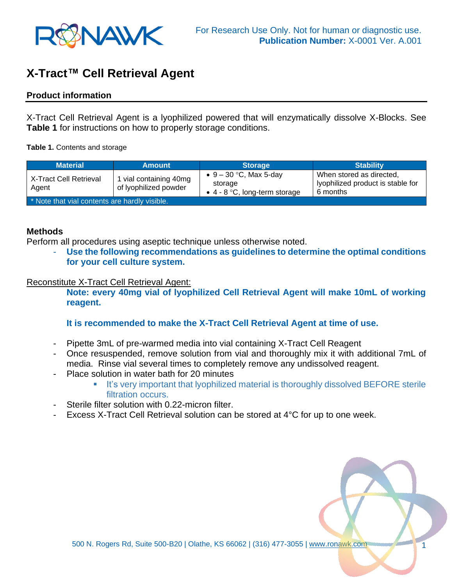

# **X-Tract™ Cell Retrieval Agent**

## **Product information**

X-Tract Cell Retrieval Agent is a lyophilized powered that will enzymatically dissolve X-Blocks. See **Table 1** for instructions on how to properly storage conditions.

**Table 1.** Contents and storage

| <b>Material</b>                               | <b>Amount</b>                                   | <b>Storage</b>                                                         | <b>Stability</b>                                                          |
|-----------------------------------------------|-------------------------------------------------|------------------------------------------------------------------------|---------------------------------------------------------------------------|
| X-Tract Cell Retrieval<br>Agent               | 1 vial containing 40mg<br>of lyophilized powder | • $9 - 30$ °C, Max 5-day<br>storage<br>• $4 - 8$ °C, long-term storage | When stored as directed,<br>lyophilized product is stable for<br>6 months |
| * Note that vial contents are hardly visible. |                                                 |                                                                        |                                                                           |

## **Methods**

Perform all procedures using aseptic technique unless otherwise noted.

Use the following recommendations as guidelines to determine the optimal conditions **for your cell culture system.** 

#### Reconstitute X-Tract Cell Retrieval Agent:

**Note: every 40mg vial of lyophilized Cell Retrieval Agent will make 10mL of working reagent.**

## **It is recommended to make the X-Tract Cell Retrieval Agent at time of use.**

- Pipette 3mL of pre-warmed media into vial containing X-Tract Cell Reagent
- Once resuspended, remove solution from vial and thoroughly mix it with additional 7mL of media. Rinse vial several times to completely remove any undissolved reagent.
- Place solution in water bath for 20 minutes
	- **■** It's very important that lyophilized material is thoroughly dissolved BEFORE sterile filtration occurs.
- Sterile filter solution with 0.22-micron filter.
- Excess X-Tract Cell Retrieval solution can be stored at 4°C for up to one week.